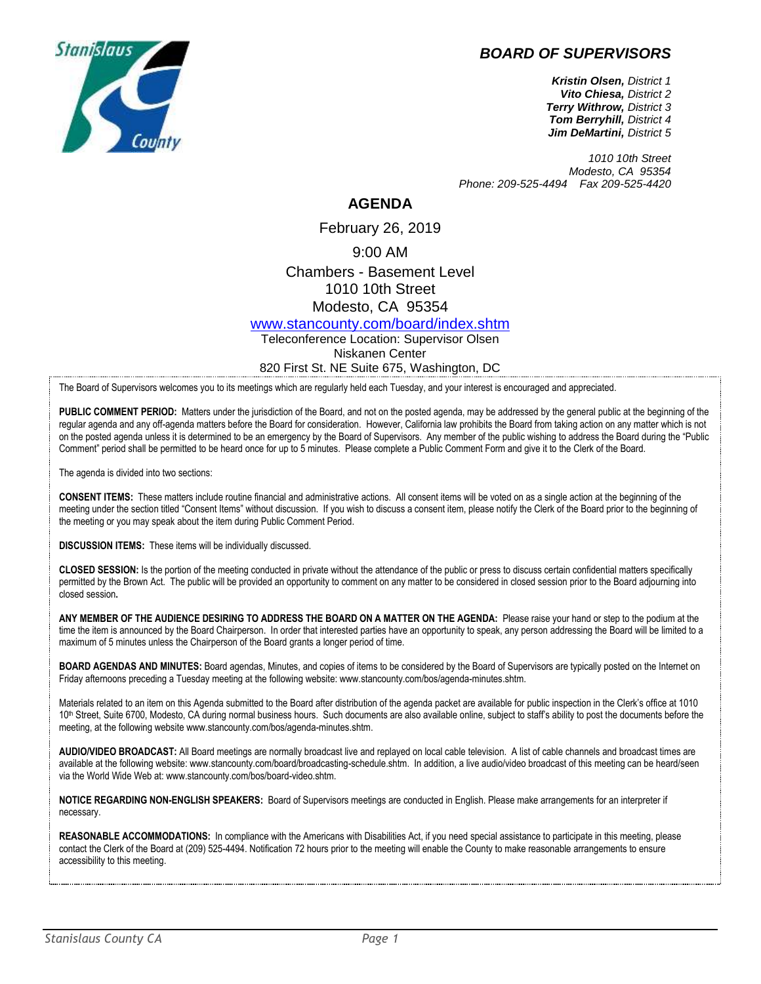## *BOARD OF SUPERVISORS*



*Kristin Olsen, District 1 Vito Chiesa, District 2 Terry Withrow, District 3 Tom Berryhill, District 4 Jim DeMartini, District 5*

*1010 10th Street Modesto, CA 95354 Phone: 209-525-4494 Fax 209-525-4420*

## **AGENDA**

February 26, 2019

9:00 AM

Chambers - Basement Level 1010 10th Street Modesto, CA 95354

[www.stancounty.com/board/index.shtm](http://www.stancounty.com/board/index.shtm)

Teleconference Location: Supervisor Olsen Niskanen Center 820 First St. NE Suite 675, Washington, DC

The Board of Supervisors welcomes you to its meetings which are regularly held each Tuesday, and your interest is encouraged and appreciated.

PUBLIC COMMENT PERIOD: Matters under the jurisdiction of the Board, and not on the posted agenda, may be addressed by the general public at the beginning of the regular agenda and any off-agenda matters before the Board for consideration. However, California law prohibits the Board from taking action on any matter which is not on the posted agenda unless it is determined to be an emergency by the Board of Supervisors. Any member of the public wishing to address the Board during the "Public Comment" period shall be permitted to be heard once for up to 5 minutes. Please complete a Public Comment Form and give it to the Clerk of the Board.

The agenda is divided into two sections:

**CONSENT ITEMS:** These matters include routine financial and administrative actions. All consent items will be voted on as a single action at the beginning of the meeting under the section titled "Consent Items" without discussion. If you wish to discuss a consent item, please notify the Clerk of the Board prior to the beginning of the meeting or you may speak about the item during Public Comment Period.

**DISCUSSION ITEMS:** These items will be individually discussed.

**CLOSED SESSION:** Is the portion of the meeting conducted in private without the attendance of the public or press to discuss certain confidential matters specifically permitted by the Brown Act. The public will be provided an opportunity to comment on any matter to be considered in closed session prior to the Board adjourning into closed session**.**

**ANY MEMBER OF THE AUDIENCE DESIRING TO ADDRESS THE BOARD ON A MATTER ON THE AGENDA:** Please raise your hand or step to the podium at the time the item is announced by the Board Chairperson. In order that interested parties have an opportunity to speak, any person addressing the Board will be limited to a maximum of 5 minutes unless the Chairperson of the Board grants a longer period of time.

**BOARD AGENDAS AND MINUTES:** Board agendas, Minutes, and copies of items to be considered by the Board of Supervisors are typically posted on the Internet on Friday afternoons preceding a Tuesday meeting at the following website: www.stancounty.com/bos/agenda-minutes.shtm.

Materials related to an item on this Agenda submitted to the Board after distribution of the agenda packet are available for public inspection in the Clerk's office at 1010 10<sup>th</sup> Street, Suite 6700, Modesto, CA during normal business hours. Such documents are also available online, subject to staff's ability to post the documents before the meeting, at the following website www.stancounty.com/bos/agenda-minutes.shtm.

**AUDIO/VIDEO BROADCAST:** All Board meetings are normally broadcast live and replayed on local cable television. A list of cable channels and broadcast times are available at the following website: www.stancounty.com/board/broadcasting-schedule.shtm. In addition, a live audio/video broadcast of this meeting can be heard/seen via the World Wide Web at: www.stancounty.com/bos/board-video.shtm.

**NOTICE REGARDING NON-ENGLISH SPEAKERS:** Board of Supervisors meetings are conducted in English. Please make arrangements for an interpreter if necessary.

**REASONABLE ACCOMMODATIONS:** In compliance with the Americans with Disabilities Act, if you need special assistance to participate in this meeting, please contact the Clerk of the Board at (209) 525-4494. Notification 72 hours prior to the meeting will enable the County to make reasonable arrangements to ensure accessibility to this meeting.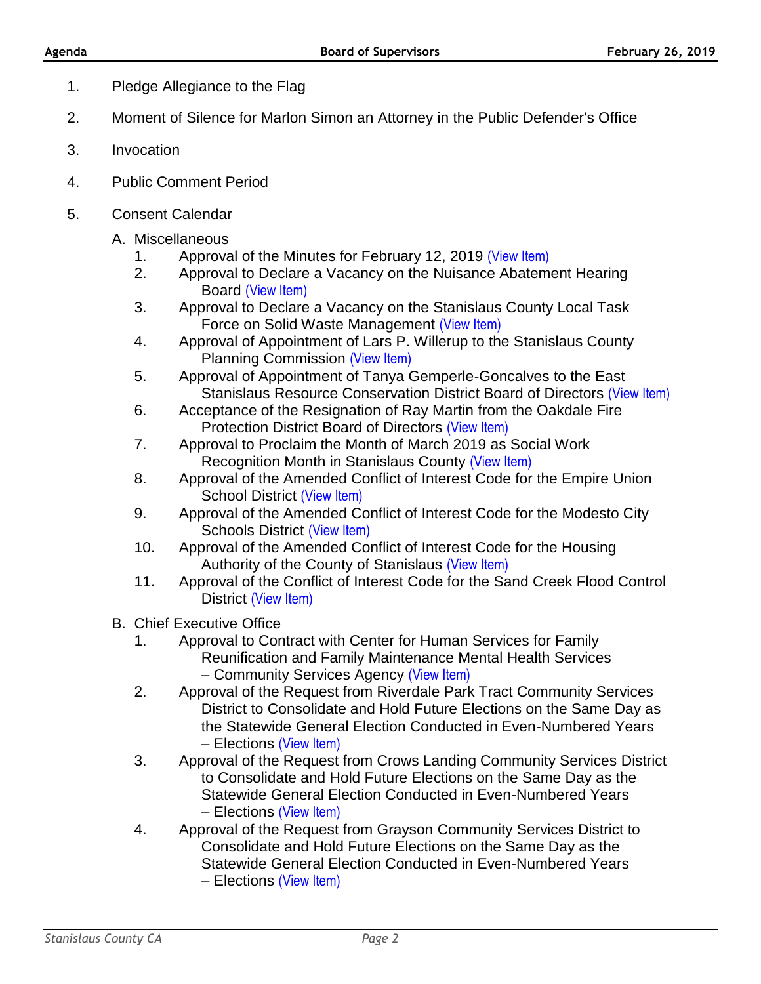- 1. Pledge Allegiance to the Flag
- 2. Moment of Silence for Marlon Simon an Attorney in the Public Defender's Office
- 3. Invocation
- 4. Public Comment Period
- 5. Consent Calendar
	- A. Miscellaneous
		- 1. Approval of the Minutes for February 12, 2019 [\(View Item\)](http://stancounty.com/bos/minutes/2019/min02-12-19.pdf)
		- 2. Approval to Declare a Vacancy on the Nuisance Abatement Hearing Board [\(View Item\)](http://stancounty.com/bos/agenda/2019/20190226/A02.pdf)
		- 3. Approval to Declare a Vacancy on the Stanislaus County Local Task Force on Solid Waste Management [\(View Item\)](http://stancounty.com/bos/agenda/2019/20190226/A03.pdf)
		- 4. Approval of Appointment of Lars P. Willerup to the Stanislaus County Planning Commission [\(View Item\)](http://stancounty.com/bos/agenda/2019/20190226/A04.pdf)
		- 5. Approval of Appointment of Tanya Gemperle-Goncalves to the East Stanislaus Resource Conservation District Board of Directors [\(View Item\)](http://stancounty.com/bos/agenda/2019/20190226/A05.pdf)
		- 6. Acceptance of the Resignation of Ray Martin from the Oakdale Fire Protection District Board of Directors [\(View Item\)](http://stancounty.com/bos/agenda/2019/20190226/A06.pdf)
		- 7. Approval to Proclaim the Month of March 2019 as Social Work Recognition Month in Stanislaus County [\(View Item\)](http://stancounty.com/bos/agenda/2019/20190226/A07.pdf)
		- 8. Approval of the Amended Conflict of Interest Code for the Empire Union School District [\(View Item\)](http://stancounty.com/bos/agenda/2019/20190226/A08.pdf)
		- 9. Approval of the Amended Conflict of Interest Code for the Modesto City Schools District [\(View Item\)](http://stancounty.com/bos/agenda/2019/20190226/A09.pdf)
		- 10. Approval of the Amended Conflict of Interest Code for the Housing Authority of the County of Stanislaus [\(View Item\)](http://stancounty.com/bos/agenda/2019/20190226/A10.pdf)
		- 11. Approval of the Conflict of Interest Code for the Sand Creek Flood Control District [\(View Item\)](http://stancounty.com/bos/agenda/2019/20190226/A11.pdf)
	- B. Chief Executive Office
		- 1. Approval to Contract with Center for Human Services for Family Reunification and Family Maintenance Mental Health Services – Community Services Agency [\(View Item\)](http://stancounty.com/bos/agenda/2019/20190226/B01.pdf)
		- 2. Approval of the Request from Riverdale Park Tract Community Services District to Consolidate and Hold Future Elections on the Same Day as the Statewide General Election Conducted in Even-Numbered Years – Elections [\(View Item\)](http://stancounty.com/bos/agenda/2019/20190226/B02.pdf)
		- 3. Approval of the Request from Crows Landing Community Services District to Consolidate and Hold Future Elections on the Same Day as the Statewide General Election Conducted in Even-Numbered Years – Elections [\(View Item\)](http://stancounty.com/bos/agenda/2019/20190226/B03.pdf)
		- 4. Approval of the Request from Grayson Community Services District to Consolidate and Hold Future Elections on the Same Day as the Statewide General Election Conducted in Even-Numbered Years – Elections [\(View Item\)](http://stancounty.com/bos/agenda/2019/20190226/B04.pdf)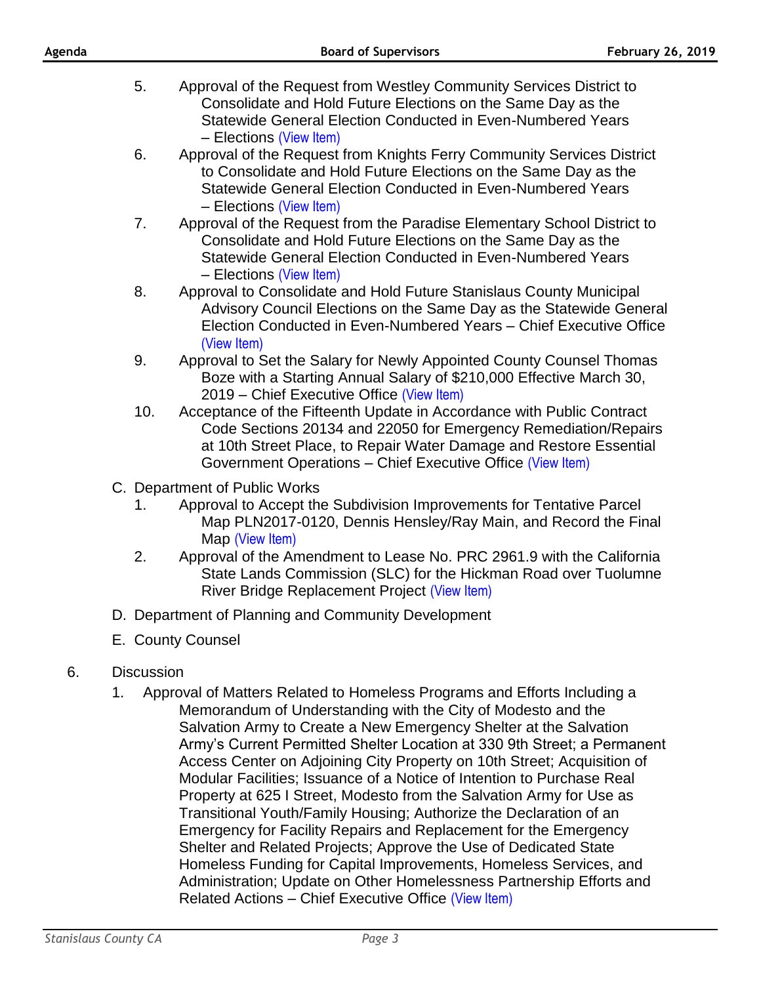| Agenda |                   |          | <b>Board of Supervisors</b>                                                                                                                                                                                                                                                                                                                                                                                                                                                                                                                                                                                                                                                                                                                                                                               | <b>February 26, 2019</b> |
|--------|-------------------|----------|-----------------------------------------------------------------------------------------------------------------------------------------------------------------------------------------------------------------------------------------------------------------------------------------------------------------------------------------------------------------------------------------------------------------------------------------------------------------------------------------------------------------------------------------------------------------------------------------------------------------------------------------------------------------------------------------------------------------------------------------------------------------------------------------------------------|--------------------------|
|        |                   | 5.       | Approval of the Request from Westley Community Services District to<br>Consolidate and Hold Future Elections on the Same Day as the<br>Statewide General Election Conducted in Even-Numbered Years                                                                                                                                                                                                                                                                                                                                                                                                                                                                                                                                                                                                        |                          |
|        |                   | 6.       | - Elections (View Item)<br>Approval of the Request from Knights Ferry Community Services District<br>to Consolidate and Hold Future Elections on the Same Day as the<br>Statewide General Election Conducted in Even-Numbered Years                                                                                                                                                                                                                                                                                                                                                                                                                                                                                                                                                                       |                          |
|        |                   | 7.       | - Elections (View Item)<br>Approval of the Request from the Paradise Elementary School District to<br>Consolidate and Hold Future Elections on the Same Day as the<br>Statewide General Election Conducted in Even-Numbered Years<br>- Elections (View Item)                                                                                                                                                                                                                                                                                                                                                                                                                                                                                                                                              |                          |
|        |                   | 8.       | Approval to Consolidate and Hold Future Stanislaus County Municipal<br>Advisory Council Elections on the Same Day as the Statewide General<br>Election Conducted in Even-Numbered Years - Chief Executive Office<br>(View Item)                                                                                                                                                                                                                                                                                                                                                                                                                                                                                                                                                                           |                          |
|        |                   | 9.       | Approval to Set the Salary for Newly Appointed County Counsel Thomas<br>Boze with a Starting Annual Salary of \$210,000 Effective March 30,<br>2019 – Chief Executive Office (View Item)                                                                                                                                                                                                                                                                                                                                                                                                                                                                                                                                                                                                                  |                          |
|        |                   | 10.      | Acceptance of the Fifteenth Update in Accordance with Public Contract<br>Code Sections 20134 and 22050 for Emergency Remediation/Repairs<br>at 10th Street Place, to Repair Water Damage and Restore Essential<br>Government Operations - Chief Executive Office (View Item)                                                                                                                                                                                                                                                                                                                                                                                                                                                                                                                              |                          |
|        |                   | 1.<br>2. | C. Department of Public Works<br>Approval to Accept the Subdivision Improvements for Tentative Parcel<br>Map PLN2017-0120, Dennis Hensley/Ray Main, and Record the Final<br>Map (View Item)<br>Approval of the Amendment to Lease No. PRC 2961.9 with the California                                                                                                                                                                                                                                                                                                                                                                                                                                                                                                                                      |                          |
|        |                   |          | State Lands Commission (SLC) for the Hickman Road over Tuolumne<br>River Bridge Replacement Project (View Item)                                                                                                                                                                                                                                                                                                                                                                                                                                                                                                                                                                                                                                                                                           |                          |
|        |                   |          | D. Department of Planning and Community Development                                                                                                                                                                                                                                                                                                                                                                                                                                                                                                                                                                                                                                                                                                                                                       |                          |
|        |                   |          | E. County Counsel                                                                                                                                                                                                                                                                                                                                                                                                                                                                                                                                                                                                                                                                                                                                                                                         |                          |
| 6.     | <b>Discussion</b> |          |                                                                                                                                                                                                                                                                                                                                                                                                                                                                                                                                                                                                                                                                                                                                                                                                           |                          |
|        | 1.                |          | Approval of Matters Related to Homeless Programs and Efforts Including a<br>Memorandum of Understanding with the City of Modesto and the<br>Salvation Army to Create a New Emergency Shelter at the Salvation<br>Army's Current Permitted Shelter Location at 330 9th Street; a Permanent<br>Access Center on Adjoining City Property on 10th Street; Acquisition of<br>Modular Facilities; Issuance of a Notice of Intention to Purchase Real<br>Property at 625 I Street, Modesto from the Salvation Army for Use as<br>Transitional Youth/Family Housing; Authorize the Declaration of an<br>Emergency for Facility Repairs and Replacement for the Emergency<br>Shelter and Related Projects; Approve the Use of Dedicated State<br>Homeless Funding for Capital Improvements, Homeless Services, and |                          |

Related Actions – Chief Executive Office [\(View Item\)](http://stancounty.com/bos/agenda/2019/20190226/DIS01.pdf)

Administration; Update on Other Homelessness Partnership Efforts and